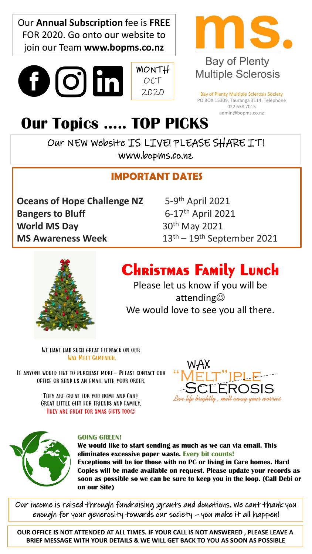Our **Annual Subscription** fee is **FREE** FOR 2020. Go onto our website to join our Team **www.bopms.co.nz**

 $\mathbf{O}(\mathbf{O})$  in



## **Bay of Plenty Multiple Sclerosis**

Bay of Plenty Multiple Sclerosis Society PO BOX 15309, Tauranga 3114. Telephone 022 638 7015 admin@bopms.co.nz

# **Our Topics ….. TOP PICKS**

OUT NEW WEDSITE IS LIVE! PLEASE SHARE IT! www.bopms.co.nz

MONTH OCT 2020

### **IMPORTANT DATES**

**Oceans of Hope Challenge NZ Bangers to Bluff** 6-17<sup>th</sup> April 2021 **World MS Day** 30<sup>th</sup> May 2021 **MS Awareness Week** 13<sup>th</sup> – 19<sup>th</sup> September 2021

 $5-9$ <sup>th</sup> April 2021



# **Christmas Family Lunch**

Please let us know if you will be attending☺ We would love to see you all there.

We have had such great feedback on our Wax Melt Campaign.

If anyone would like to purchase more- Please contact our office or send us an email with your order.

> THEY ARE GREAT FOR YOU HOME AND CAR! Great little gift for friends and family. THEY ARE GREAT FOR XMAS GIFTS TOO<sup>©</sup>





#### **GOING GREEN!**

**We would like to start sending as much as we can via email. This eliminates excessive paper waste. Every bit counts! Exceptions will be for those with no PC or living in Care homes. Hard Copies will be made available on request. Please update your records as soon as possible so we can be sure to keep you in the loop. (Call Debi or on our Site)** 

Our income is raised through fundraising ;grants and donations. We cant thank you enough for your generosity towards our society – you make it all happen!

**OUR OFFICE IS NOT ATTENDED AT ALL TIMES. IF YOUR CALL IS NOT ANSWERED , PLEASE LEAVE A BRIEF MESSAGE WITH YOUR DETAILS & WE WILL GET BACK TO YOU AS SOON AS POSSIBLE**